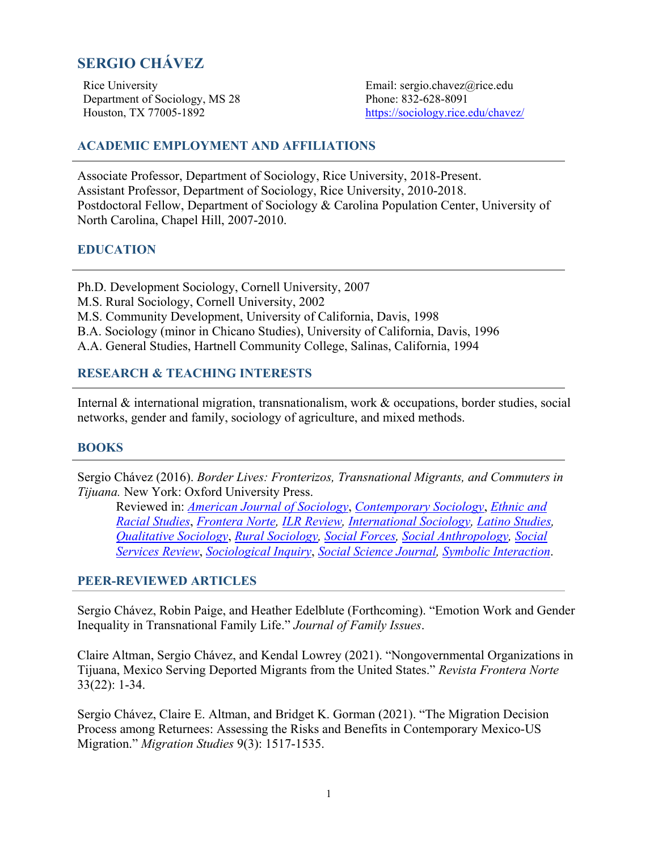# **SERGIO CHÁVEZ**

Rice University Email: [sergio.chavez@rice.edu](mailto:sergio.chavez@rice.edu)  Department of Sociology, MS 28 Phone: 832-628-8091

Houston, TX 77005-1892 [https://sociology.rice.edu/chavez/](https://sociology.rice.edu/chavez)

# **ACADEMIC EMPLOYMENT AND AFFILIATIONS**

Associate Professor, Department of Sociology, Rice University, 2018-Present. Assistant Professor, Department of Sociology, Rice University, 2010-2018. Postdoctoral Fellow, Department of Sociology & Carolina Population Center, University of North Carolina, Chapel Hill, 2007-2010.

# **EDUCATION**

Ph.D. Development Sociology, Cornell University, 2007 M.S. Rural Sociology, Cornell University, 2002 M.S. Community Development, University of California, Davis, 1998 B.A. Sociology (minor in Chicano Studies), University of California, Davis, 1996 A.A. General Studies, Hartnell Community College, Salinas, California, 1994

# **RESEARCH & TEACHING INTERESTS**

Internal & international migration, transnationalism, work & occupations, border studies, social networks, gender and family, sociology of agriculture, and mixed methods.

#### **BOOKS**

Sergio Chávez (2016). *Border Lives: Fronterizos, Transnational Migrants, and Commuters in Tijuana.* New York: Oxford University Press.

Reviewed in: *American Journal of Sociology*, *Contemporary Sociology*, *Ethnic and Racial Studies*, *Frontera Norte, ILR Review, International Sociology, Latino Studies, Qualitative Sociology*, *Rural Sociology, Social Forces, Social Anthropology, Social Services Review*, *Sociological Inquiry*, *Social Science Journal, Symbolic Interaction*.

#### **PEER-REVIEWED ARTICLES**

Sergio Chávez, Robin Paige, and Heather Edelblute (Forthcoming). "Emotion Work and Gender Inequality in Transnational Family Life." *Journal of Family Issues*.

Claire Altman, Sergio Chávez, and Kendal Lowrey (2021). "Nongovernmental Organizations in Tijuana, Mexico Serving Deported Migrants from the United States." *Revista Frontera Norte*  33(22): 1-34.

Sergio Chávez, Claire E. Altman, and Bridget K. Gorman (2021). "The Migration Decision Process among Returnees: Assessing the Risks and Benefits in Contemporary Mexico-US Migration." *Migration Studies* 9(3): 1517-1535.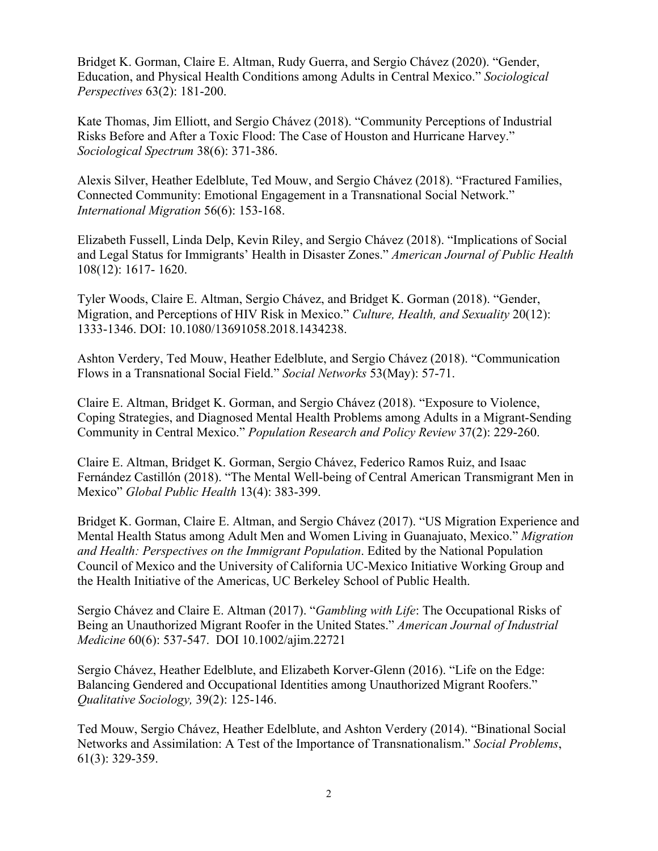Bridget K. Gorman, Claire E. Altman, Rudy Guerra, and Sergio Chávez (2020). "Gender, Education, and Physical Health Conditions among Adults in Central Mexico." *Sociological Perspectives* 63(2): 181-200.

Kate Thomas, Jim Elliott, and Sergio Chávez (2018). "Community Perceptions of Industrial Risks Before and After a Toxic Flood: The Case of Houston and Hurricane Harvey." *Sociological Spectrum* 38(6): 371-386.

Alexis Silver, Heather Edelblute, Ted Mouw, and Sergio Chávez (2018). "Fractured Families, Connected Community: Emotional Engagement in a Transnational Social Network." *International Migration* 56(6): 153-168.

Elizabeth Fussell, Linda Delp, Kevin Riley, and Sergio Chávez (2018). "Implications of Social and Legal Status for Immigrants' Health in Disaster Zones." *American Journal of Public Health*  108(12): 1617- 1620.

Tyler Woods, Claire E. Altman, Sergio Chávez, and Bridget K. Gorman (2018). "Gender, Migration, and Perceptions of HIV Risk in Mexico." *Culture, Health, and Sexuality* 20(12): 1333-1346. DOI: 10.1080/13691058.2018.1434238.

Ashton Verdery, Ted Mouw, Heather Edelblute, and Sergio Chávez (2018). "Communication Flows in a Transnational Social Field." *Social Networks* 53(May): 57-71.

Claire E. Altman, Bridget K. Gorman, and Sergio Chávez (2018). "Exposure to Violence, Coping Strategies, and Diagnosed Mental Health Problems among Adults in a Migrant-Sending Community in Central Mexico." *Population Research and Policy Review* 37(2): 229-260.

Claire E. Altman, Bridget K. Gorman, Sergio Chávez, Federico Ramos Ruiz, and Isaac Fernández Castillón (2018). "The Mental Well-being of Central American Transmigrant Men in Mexico" *Global Public Health* 13(4): 383-399.

Bridget K. Gorman, Claire E. Altman, and Sergio Chávez (2017). "US Migration Experience and Mental Health Status among Adult Men and Women Living in Guanajuato, Mexico." *Migration and Health: Perspectives on the Immigrant Population*. Edited by the National Population Council of Mexico and the University of California UC-Mexico Initiative Working Group and the Health Initiative of the Americas, UC Berkeley School of Public Health.

Sergio Chávez and Claire E. Altman (2017). "*Gambling with Life*: The Occupational Risks of Being an Unauthorized Migrant Roofer in the United States." *American Journal of Industrial Medicine* 60(6): 537-547. DOI 10.1002/ajim.22721

Sergio Chávez, Heather Edelblute, and Elizabeth Korver-Glenn (2016). "Life on the Edge: Balancing Gendered and Occupational Identities among Unauthorized Migrant Roofers." *Qualitative Sociology,* 39(2): 125-146.

Ted Mouw, Sergio Chávez, Heather Edelblute, and Ashton Verdery (2014). "Binational Social Networks and Assimilation: A Test of the Importance of Transnationalism." *Social Problems*, 61(3): 329-359.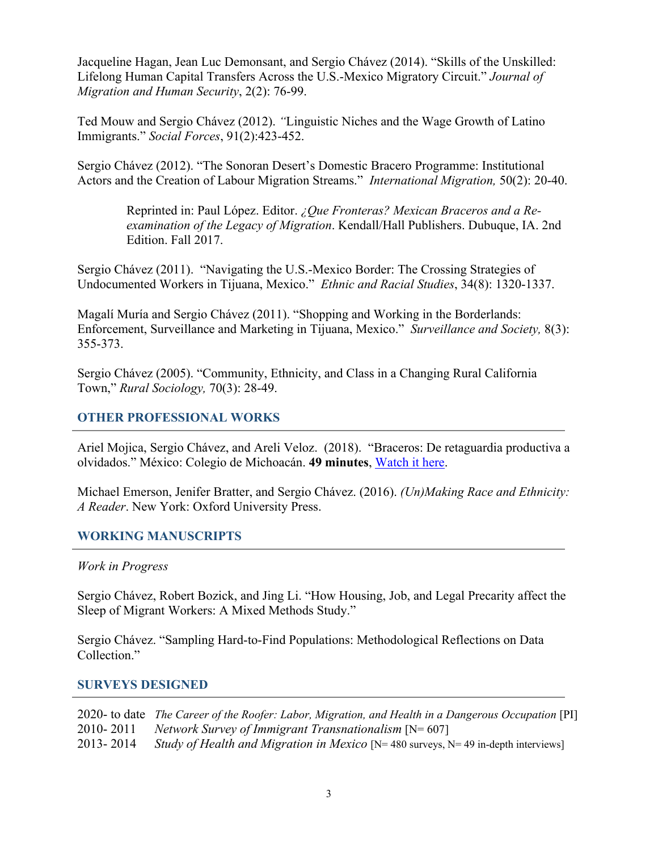Jacqueline Hagan, Jean Luc Demonsant, and Sergio Chávez (2014). "Skills of the Unskilled: Lifelong Human Capital Transfers Across the U.S.-Mexico Migratory Circuit." *Journal of Migration and Human Security*, 2(2): 76-99.

Ted Mouw and Sergio Chávez (2012). *"*Linguistic Niches and the Wage Growth of Latino Immigrants." *Social Forces*, 91(2):423-452.

Sergio Chávez (2012). "The Sonoran Desert's Domestic Bracero Programme: Institutional Actors and the Creation of Labour Migration Streams." *International Migration,* 50(2): 20-40.

Reprinted in: Paul López. Editor. *¿Que Fronteras? Mexican Braceros and a Reexamination of the Legacy of Migration*. Kendall/Hall Publishers. Dubuque, IA. 2nd Edition. Fall 2017.

Sergio Chávez (2011). "Navigating the U.S.-Mexico Border: The Crossing Strategies of Undocumented Workers in Tijuana, Mexico." *Ethnic and Racial Studies*, 34(8): 1320-1337.

Magalí Muría and Sergio Chávez (2011). "Shopping and Working in the Borderlands: Enforcement, Surveillance and Marketing in Tijuana, Mexico." *Surveillance and Society,* 8(3): 355-373.

Sergio Chávez (2005). "Community, Ethnicity, and Class in a Changing Rural California Town," *Rural Sociology,* 70(3): 28-49.

### **OTHER PROFESSIONAL WORKS**

Ariel Mojica, Sergio Chávez, and Areli Veloz. (2018). "Braceros: De retaguardia productiva a olvidados." México: Colegio de Michoacán. **49 minutes**, Watch it here.

Michael Emerson, Jenifer Bratter, and Sergio Chávez. (2016). *(Un)Making Race and Ethnicity: A Reader*. New York: Oxford University Press.

#### **WORKING MANUSCRIPTS**

*Work in Progress* 

Sergio Chávez, Robert Bozick, and Jing Li. "How Housing, Job, and Legal Precarity affect the Sleep of Migrant Workers: A Mixed Methods Study."

Sergio Chávez. "Sampling Hard-to-Find Populations: Methodological Reflections on Data Collection."

#### **SURVEYS DESIGNED**

|           | 2020- to date The Career of the Roofer: Labor, Migration, and Health in a Dangerous Occupation [PI] |
|-----------|-----------------------------------------------------------------------------------------------------|
| 2010-2011 | Network Survey of Immigrant Transnationalism $[N=607]$                                              |
| 2013-2014 | <i>Study of Health and Migration in Mexico</i> [N= 480 surveys, N= 49 in-depth interviews]          |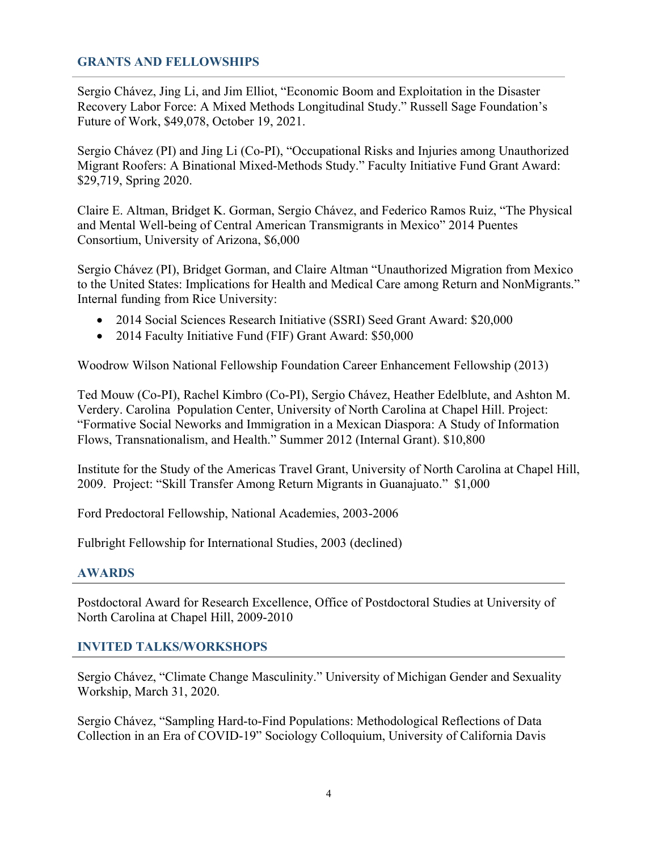### **GRANTS AND FELLOWSHIPS**

Sergio Chávez, Jing Li, and Jim Elliot, "Economic Boom and Exploitation in the Disaster Recovery Labor Force: A Mixed Methods Longitudinal Study." Russell Sage Foundation's Future of Work, \$49,078, October 19, 2021.

Sergio Chávez (PI) and Jing Li (Co-PI), "Occupational Risks and Injuries among Unauthorized Migrant Roofers: A Binational Mixed-Methods Study." Faculty Initiative Fund Grant Award: \$29,719, Spring 2020.

Claire E. Altman, Bridget K. Gorman, Sergio Chávez, and Federico Ramos Ruiz, "The Physical and Mental Well-being of Central American Transmigrants in Mexico" 2014 Puentes Consortium, University of Arizona, \$6,000

Sergio Chávez (PI), Bridget Gorman, and Claire Altman "Unauthorized Migration from Mexico to the United States: Implications for Health and Medical Care among Return and NonMigrants." Internal funding from Rice University:

- 2014 Social Sciences Research Initiative (SSRI) Seed Grant Award: \$20,000
- 2014 Faculty Initiative Fund (FIF) Grant Award: \$50,000

Woodrow Wilson National Fellowship Foundation Career Enhancement Fellowship (2013)

Ted Mouw (Co-PI), Rachel Kimbro (Co-PI), Sergio Chávez, Heather Edelblute, and Ashton M. Verdery. Carolina Population Center, University of North Carolina at Chapel Hill. Project: "Formative Social Neworks and Immigration in a Mexican Diaspora: A Study of Information Flows, Transnationalism, and Health." Summer 2012 (Internal Grant). \$10,800

Institute for the Study of the Americas Travel Grant, University of North Carolina at Chapel Hill, 2009. Project: "Skill Transfer Among Return Migrants in Guanajuato." \$1,000

Ford Predoctoral Fellowship, National Academies, 2003-2006

Fulbright Fellowship for International Studies, 2003 (declined)

#### **AWARDS**

Postdoctoral Award for Research Excellence, Office of Postdoctoral Studies at University of North Carolina at Chapel Hill, 2009-2010

# **INVITED TALKS/WORKSHOPS**

Sergio Chávez, "Climate Change Masculinity." University of Michigan Gender and Sexuality Workship, March 31, 2020.

Sergio Chávez, "Sampling Hard-to-Find Populations: Methodological Reflections of Data Collection in an Era of COVID-19" Sociology Colloquium, University of California Davis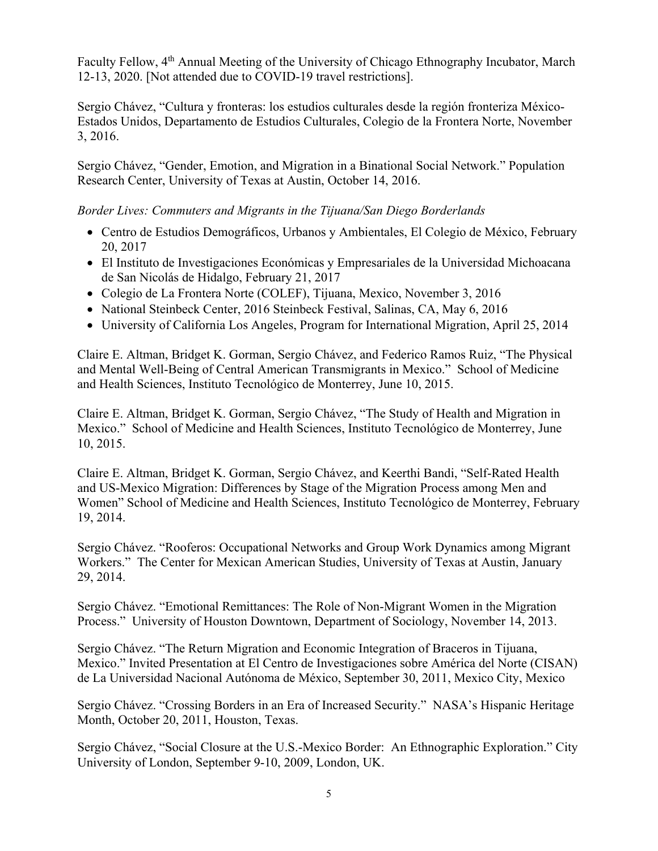Faculty Fellow, 4<sup>th</sup> Annual Meeting of the University of Chicago Ethnography Incubator, March 12-13, 2020. [Not attended due to COVID-19 travel restrictions].

Sergio Chávez, "Cultura y fronteras: los estudios culturales desde la región fronteriza México-Estados Unidos, Departamento de Estudios Culturales, Colegio de la Frontera Norte, November 3, 2016.

Sergio Chávez, "Gender, Emotion, and Migration in a Binational Social Network." Population Research Center, University of Texas at Austin, October 14, 2016.

*Border Lives: Commuters and Migrants in the Tijuana/San Diego Borderlands* 

- Centro de Estudios Demográficos, Urbanos y Ambientales, El Colegio de México, February 20, 2017
- El Instituto de Investigaciones Económicas y Empresariales de la Universidad Michoacana de San Nicolás de Hidalgo, February 21, 2017
- Colegio de La Frontera Norte (COLEF), Tijuana, Mexico, November 3, 2016
- National Steinbeck Center, 2016 Steinbeck Festival, Salinas, CA, May 6, 2016
- University of California Los Angeles, Program for International Migration, April 25, 2014

Claire E. Altman, Bridget K. Gorman, Sergio Chávez, and Federico Ramos Ruiz, "The Physical and Mental Well-Being of Central American Transmigrants in Mexico." School of Medicine and Health Sciences, Instituto Tecnológico de Monterrey, June 10, 2015.

Claire E. Altman, Bridget K. Gorman, Sergio Chávez, "The Study of Health and Migration in Mexico." School of Medicine and Health Sciences, Instituto Tecnológico de Monterrey, June 10, 2015.

Claire E. Altman, Bridget K. Gorman, Sergio Chávez, and Keerthi Bandi, "Self-Rated Health and US-Mexico Migration: Differences by Stage of the Migration Process among Men and Women" School of Medicine and Health Sciences, Instituto Tecnológico de Monterrey, February 19, 2014.

Sergio Chávez. "Rooferos: Occupational Networks and Group Work Dynamics among Migrant Workers." The Center for Mexican American Studies, University of Texas at Austin, January 29, 2014.

Sergio Chávez. "Emotional Remittances: The Role of Non-Migrant Women in the Migration Process." University of Houston Downtown, Department of Sociology, November 14, 2013.

Sergio Chávez. "The Return Migration and Economic Integration of Braceros in Tijuana, Mexico." Invited Presentation at El Centro de Investigaciones sobre América del Norte (CISAN) de La Universidad Nacional Autónoma de México, September 30, 2011, Mexico City, Mexico

Sergio Chávez. "Crossing Borders in an Era of Increased Security." NASA's Hispanic Heritage Month, October 20, 2011, Houston, Texas.

Sergio Chávez, "Social Closure at the U.S.-Mexico Border: An Ethnographic Exploration." City University of London, September 9-10, 2009, London, UK.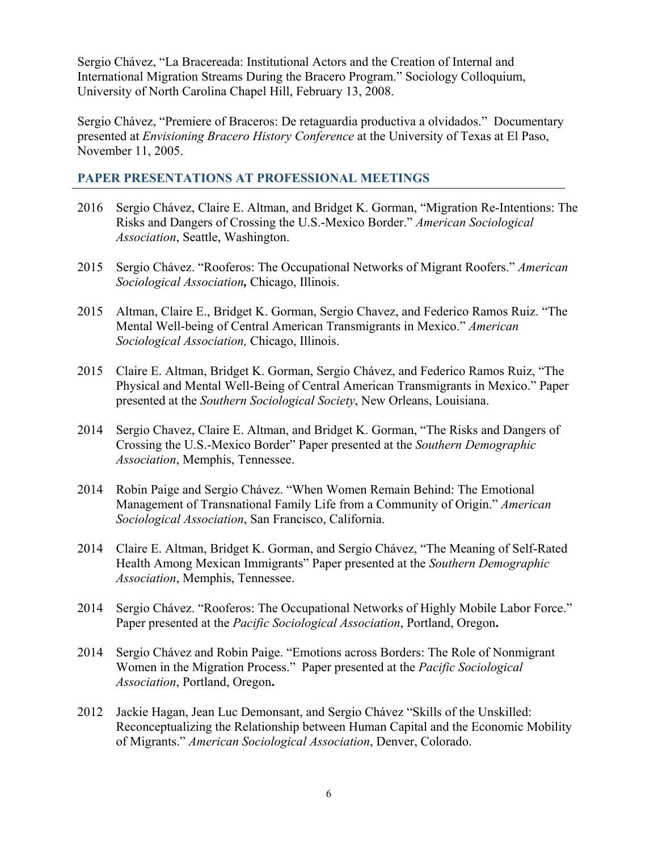Sergio Chávez, "La Bracereada: Institutional Actors and the Creation of Internal and International Migration Streams During the Bracero Program." Sociology Colloquium, University of North Carolina Chapel Hill, February 13, 2008.

Sergio Chávez, "Premiere of Braceros: De retaguardia productiva a olvidados." Documentary presented at *Envisioning Bracero History Conference* at the University of Texas at El Paso, November 11, 2005.

# **PAPER PRESENTATIONS AT PROFESSIONAL MEETINGS**

- 2016 Sergio Chávez, Claire E. Altman, and Bridget K. Gorman, "Migration Re-Intentions: The Risks and Dangers of Crossing the U.S.-Mexico Border." *American Sociological Association*, Seattle, Washington.
- 2015 Sergio Chávez. "Rooferos: The Occupational Networks of Migrant Roofers." *American Sociological Association,* Chicago, Illinois.
- 2015 Altman, Claire E., Bridget K. Gorman, Sergio Chavez, and Federico Ramos Ruiz. "The Mental Well-being of Central American Transmigrants in Mexico." *American Sociological Association,* Chicago, Illinois.
- 2015 Claire E. Altman, Bridget K. Gorman, Sergio Chávez, and Federico Ramos Ruiz, "The Physical and Mental Well-Being of Central American Transmigrants in Mexico." Paper presented at the *Southern Sociological Society*, New Orleans, Louisiana.
- 2014 Sergio Chavez, Claire E. Altman, and Bridget K. Gorman, "The Risks and Dangers of Crossing the U.S.-Mexico Border" Paper presented at the *Southern Demographic Association*, Memphis, Tennessee.
- 2014 Robin Paige and Sergio Chávez. "When Women Remain Behind: The Emotional Management of Transnational Family Life from a Community of Origin." *American Sociological Association*, San Francisco, California.
- 2014 Claire E. Altman, Bridget K. Gorman, and Sergio Chávez, "The Meaning of Self-Rated Health Among Mexican Immigrants" Paper presented at the *Southern Demographic Association*, Memphis, Tennessee.
- 2014 Sergio Chávez. "Rooferos: The Occupational Networks of Highly Mobile Labor Force." Paper presented at the *Pacific Sociological Association*, Portland, Oregon**.**
- 2014 Sergio Chávez and Robin Paige. "Emotions across Borders: The Role of Nonmigrant Women in the Migration Process." Paper presented at the *Pacific Sociological Association*, Portland, Oregon**.**
- 2012 Jackie Hagan, Jean Luc Demonsant, and Sergio Chávez "Skills of the Unskilled: Reconceptualizing the Relationship between Human Capital and the Economic Mobility of Migrants." *American Sociological Association*, Denver, Colorado.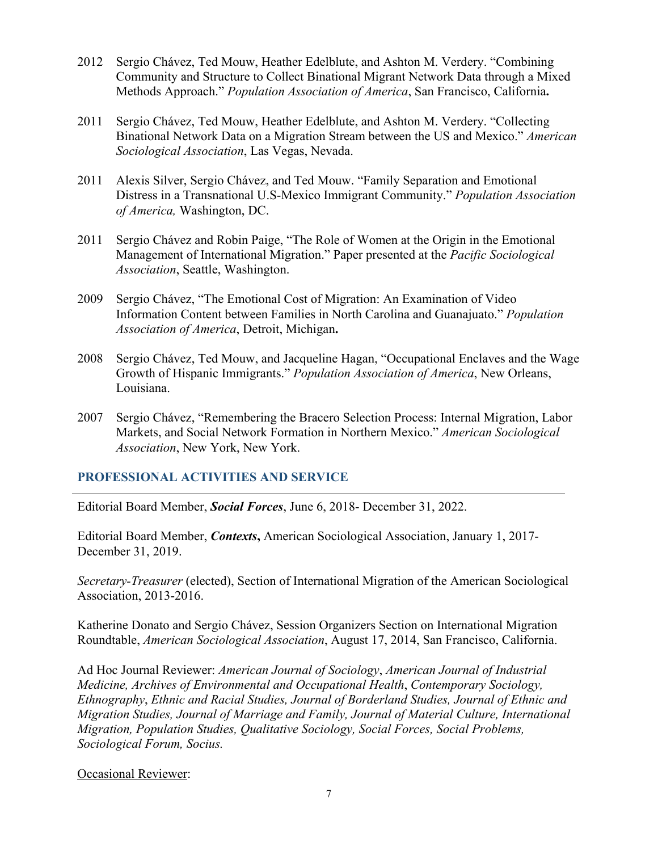- 2012 Sergio Chávez, Ted Mouw, Heather Edelblute, and Ashton M. Verdery. "Combining Community and Structure to Collect Binational Migrant Network Data through a Mixed Methods Approach." *Population Association of America*, San Francisco, California**.**
- 2011 Sergio Chávez, Ted Mouw, Heather Edelblute, and Ashton M. Verdery. "Collecting Binational Network Data on a Migration Stream between the US and Mexico." *American Sociological Association*, Las Vegas, Nevada.
- 2011 Alexis Silver, Sergio Chávez, and Ted Mouw. "Family Separation and Emotional Distress in a Transnational U.S-Mexico Immigrant Community." *Population Association of America,* Washington, DC.
- 2011 Sergio Chávez and Robin Paige, "The Role of Women at the Origin in the Emotional Management of International Migration." Paper presented at the *Pacific Sociological Association*, Seattle, Washington.
- 2009 Sergio Chávez, "The Emotional Cost of Migration: An Examination of Video Information Content between Families in North Carolina and Guanajuato." *Population Association of America*, Detroit, Michigan**.**
- 2008 Sergio Chávez, Ted Mouw, and Jacqueline Hagan, "Occupational Enclaves and the Wage Growth of Hispanic Immigrants." *Population Association of America*, New Orleans, Louisiana.
- 2007 Sergio Chávez, "Remembering the Bracero Selection Process: Internal Migration, Labor Markets, and Social Network Formation in Northern Mexico." *American Sociological Association*, New York, New York.

# **PROFESSIONAL ACTIVITIES AND SERVICE**

Editorial Board Member, *Social Forces*, June 6, 2018- December 31, 2022.

Editorial Board Member, *Contexts***,** American Sociological Association, January 1, 2017- December 31, 2019.

*Secretary-Treasurer* (elected), Section of International Migration of the American Sociological Association, 2013-2016.

Katherine Donato and Sergio Chávez, Session Organizers Section on International Migration Roundtable, *American Sociological Association*, August 17, 2014, San Francisco, California.

Ad Hoc Journal Reviewer: *American Journal of Sociology*, *American Journal of Industrial Medicine, Archives of Environmental and Occupational Health*, *Contemporary Sociology, Ethnography*, *Ethnic and Racial Studies, Journal of Borderland Studies, Journal of Ethnic and Migration Studies, Journal of Marriage and Family, Journal of Material Culture, International Migration, Population Studies, Qualitative Sociology, Social Forces, Social Problems, Sociological Forum, Socius.* 

#### Occasional Reviewer: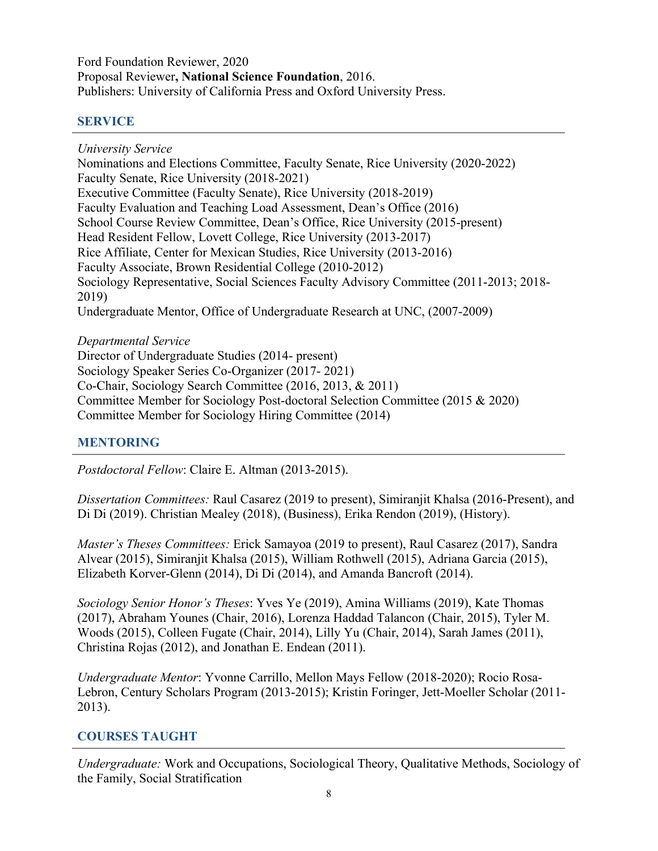Ford Foundation Reviewer, 2020 Proposal Reviewer**, National Science Foundation**, 2016. Publishers: University of California Press and Oxford University Press.

# **SERVICE**

*University Service* 

Nominations and Elections Committee, Faculty Senate, Rice University (2020-2022) Faculty Senate, Rice University (2018-2021) Executive Committee (Faculty Senate), Rice University (2018-2019) Faculty Evaluation and Teaching Load Assessment, Dean's Office (2016) School Course Review Committee, Dean's Office, Rice University (2015-present) Head Resident Fellow, Lovett College, Rice University (2013-2017) Rice Affiliate, Center for Mexican Studies, Rice University (2013-2016) Faculty Associate, Brown Residential College (2010-2012) Sociology Representative, Social Sciences Faculty Advisory Committee (2011-2013; 2018- 2019) Undergraduate Mentor, Office of Undergraduate Research at UNC, (2007-2009)

*Departmental Service*  Director of Undergraduate Studies (2014- present) Sociology Speaker Series Co-Organizer (2017- 2021) Co-Chair, Sociology Search Committee (2016, 2013, & 2011) Committee Member for Sociology Post-doctoral Selection Committee (2015 & 2020) Committee Member for Sociology Hiring Committee (2014)

# **MENTORING**

*Postdoctoral Fellow*: Claire E. Altman (2013-2015).

*Dissertation Committees:* Raul Casarez (2019 to present), Simiranjit Khalsa (2016-Present), and Di Di (2019). Christian Mealey (2018), (Business), Erika Rendon (2019), (History).

*Master's Theses Committees:* Erick Samayoa (2019 to present), Raul Casarez (2017), Sandra Alvear (2015), Simiranjit Khalsa (2015), William Rothwell (2015), Adriana Garcia (2015), Elizabeth Korver-Glenn (2014), Di Di (2014), and Amanda Bancroft (2014).

*Sociology Senior Honor's Theses*: Yves Ye (2019), Amina Williams (2019), Kate Thomas (2017), Abraham Younes (Chair, 2016), Lorenza Haddad Talancon (Chair, 2015), Tyler M. Woods (2015), Colleen Fugate (Chair, 2014), Lilly Yu (Chair, 2014), Sarah James (2011), Christina Rojas (2012), and Jonathan E. Endean (2011).

*Undergraduate Mentor*: Yvonne Carrillo, Mellon Mays Fellow (2018-2020); Rocio Rosa-Lebron, Century Scholars Program (2013-2015); Kristin Foringer, Jett-Moeller Scholar (2011- 2013).

# **COURSES TAUGHT**

*Undergraduate:* Work and Occupations, Sociological Theory, Qualitative Methods, Sociology of the Family, Social Stratification